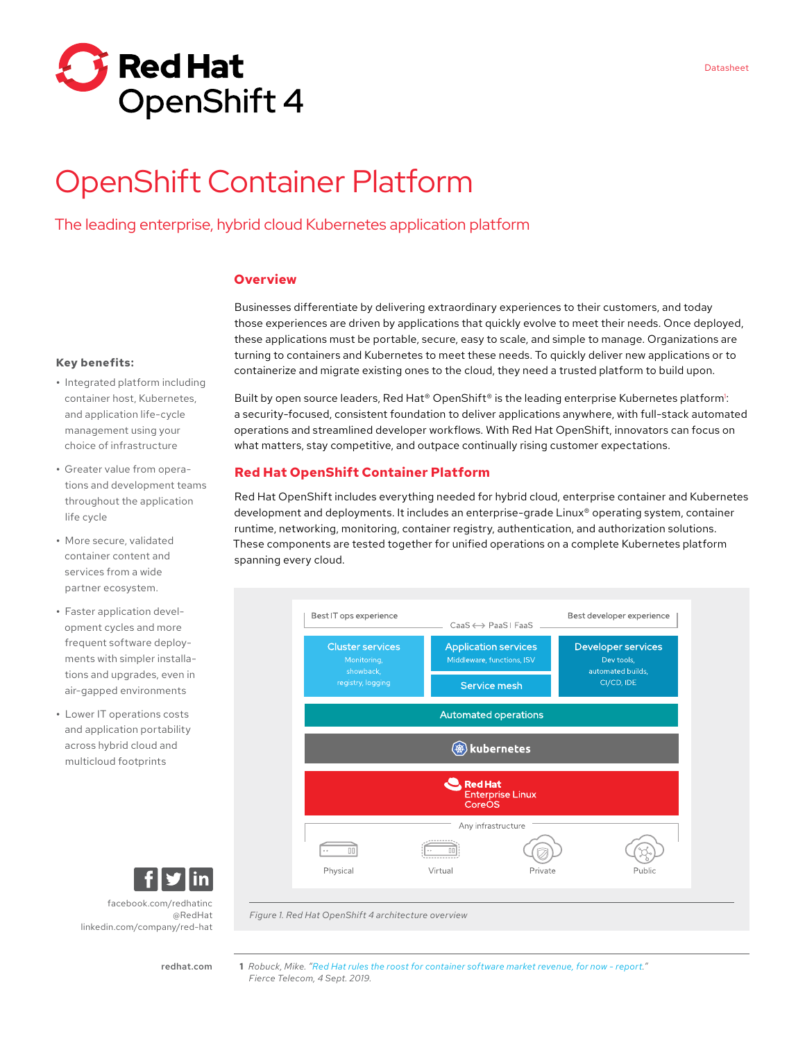

# OpenShift Container Platform

The leading enterprise, hybrid cloud Kubernetes application platform

## **Overview**

Businesses differentiate by delivering extraordinary experiences to their customers, and today those experiences are driven by applications that quickly evolve to meet their needs. Once deployed, these applications must be portable, secure, easy to scale, and simple to manage. Organizations are turning to containers and Kubernetes to meet these needs. To quickly deliver new applications or to containerize and migrate existing ones to the cloud, they need a trusted platform to build upon.

#### **Key benefits:**

- **•** Integrated platform including container host, Kubernetes, and application life-cycle management using your choice of infrastructure
- **•** Greater value from operations and development teams throughout the application life cycle
- **•** More secure, validated container content and services from a wide partner ecosystem.
- **•** Faster application development cycles and more frequent software deployments with simpler installations and upgrades, even in air-gapped environments
- **•** Lower IT operations costs and application portability across hybrid cloud and multicloud footprints

Built by open source leaders, Red Hat® OpenShift® is the leading enterprise Kubernetes platform<sup>1</sup>: a security-focused, consistent foundation to deliver applications anywhere, with full-stack automated operations and streamlined developer workflows. With Red Hat OpenShift, innovators can focus on what matters, stay competitive, and outpace continually rising customer expectations.

## **Red Hat OpenShift Container Platform**

Red Hat OpenShift includes everything needed for hybrid cloud, enterprise container and Kubernetes development and deployments. It includes an enterprise-grade Linux® operating system, container runtime, networking, monitoring, container registry, authentication, and authorization solutions. These components are tested together for unified operations on a complete Kubernetes platform spanning every cloud.



*Figure 1. Red Hat OpenShift 4 architecture overview*

[redhat.com](http://redhat.com) 

[@RedHat](https://twitter.com/RedHatNews)

[facebook.com/redhatinc](http://facebook.com/redhatinc)

[linkedin.com/company/red](http://linkedin.com/company/red-hat)-hat

Datasheet

**<sup>1</sup>** *Robuck, Mike. "[Red Hat rules the roost for container software market revenue, for now - report.](https://www.fiercetelecom.com/telecom/red-hat-rules-roost-for-container-software-market-revenue-for-now-report)" Fierce Telecom, 4 Sept. 2019.*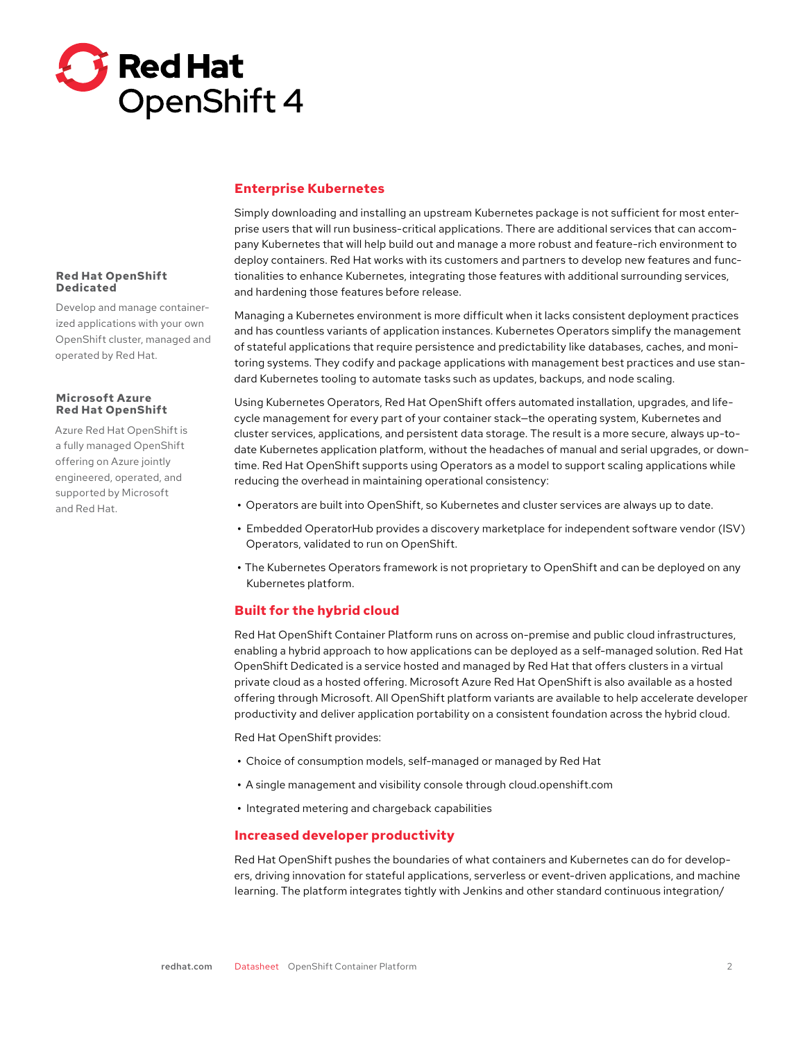

# **Red Hat OpenShift Dedicated**

Develop and manage containerized applications with your own OpenShift cluster, managed and operated by Red Hat.

## **Microsoft Azure Red Hat OpenShift**

Azure Red Hat OpenShift is a fully managed OpenShift offering on Azure jointly engineered, operated, and supported by Microsoft and Red Hat.

# **Enterprise Kubernetes**

Simply downloading and installing an upstream Kubernetes package is not sufficient for most enterprise users that will run business-critical applications. There are additional services that can accompany Kubernetes that will help build out and manage a more robust and feature-rich environment to deploy containers. Red Hat works with its customers and partners to develop new features and functionalities to enhance Kubernetes, integrating those features with additional surrounding services, and hardening those features before release.

Managing a Kubernetes environment is more difficult when it lacks consistent deployment practices and has countless variants of application instances. Kubernetes Operators simplify the management of stateful applications that require persistence and predictability like databases, caches, and monitoring systems. They codify and package applications with management best practices and use standard Kubernetes tooling to automate tasks such as updates, backups, and node scaling.

Using Kubernetes Operators, Red Hat OpenShift offers automated installation, upgrades, and lifecycle management for every part of your container stack—the operating system, Kubernetes and cluster services, applications, and persistent data storage. The result is a more secure, always up-todate Kubernetes application platform, without the headaches of manual and serial upgrades, or downtime. Red Hat OpenShift supports using Operators as a model to support scaling applications while reducing the overhead in maintaining operational consistency:

- **•** Operators are built into OpenShift, so Kubernetes and cluster services are always up to date.
- **•** Embedded OperatorHub provides a discovery marketplace for independent software vendor (ISV) Operators, validated to run on OpenShift.
- **•** The Kubernetes Operators framework is not proprietary to OpenShift and can be deployed on any Kubernetes platform.

# **Built for the hybrid cloud**

Red Hat OpenShift Container Platform runs on across on-premise and public cloud infrastructures, enabling a hybrid approach to how applications can be deployed as a self-managed solution. Red Hat OpenShift Dedicated is a service hosted and managed by Red Hat that offers clusters in a virtual private cloud as a hosted offering. Microsoft Azure Red Hat OpenShift is also available as a hosted offering through Microsoft. All OpenShift platform variants are available to help accelerate developer productivity and deliver application portability on a consistent foundation across the hybrid cloud.

Red Hat OpenShift provides:

- **•** Choice of consumption models, self-managed or managed by Red Hat
- **•** A single management and visibility console through cloud.openshift.com
- **•** Integrated metering and chargeback capabilities

## **Increased developer productivity**

Red Hat OpenShift pushes the boundaries of what containers and Kubernetes can do for developers, driving innovation for stateful applications, serverless or event-driven applications, and machine learning. The platform integrates tightly with Jenkins and other standard continuous integration/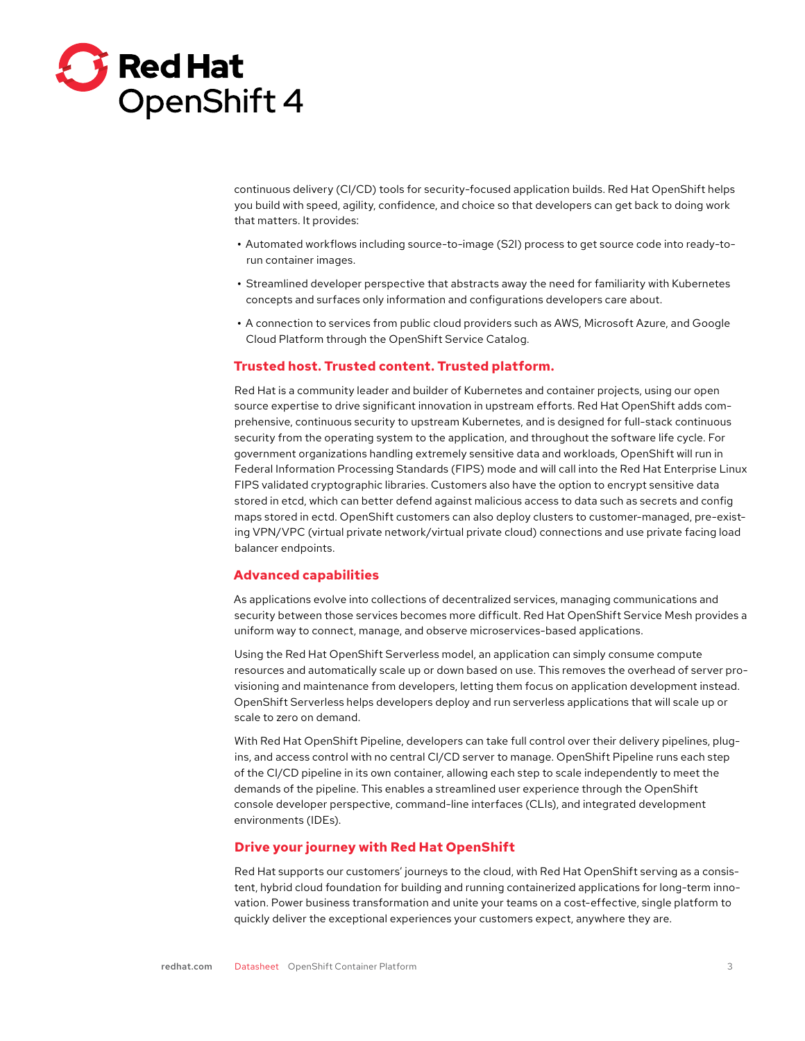

continuous delivery (CI/CD) tools for security-focused application builds. Red Hat OpenShift helps you build with speed, agility, confidence, and choice so that developers can get back to doing work that matters. It provides:

- **•** Automated workflows including source-to-image (S2I) process to get source code into ready-torun container images.
- **•** Streamlined developer perspective that abstracts away the need for familiarity with Kubernetes concepts and surfaces only information and configurations developers care about.
- **•** A connection to services from public cloud providers such as AWS, Microsoft Azure, and Google Cloud Platform through the OpenShift Service Catalog.

### **Trusted host. Trusted content. Trusted platform.**

Red Hat is a community leader and builder of Kubernetes and container projects, using our open source expertise to drive significant innovation in upstream efforts. Red Hat OpenShift adds comprehensive, continuous security to upstream Kubernetes, and is designed for full-stack continuous security from the operating system to the application, and throughout the software life cycle. For government organizations handling extremely sensitive data and workloads, OpenShift will run in Federal Information Processing Standards (FIPS) mode and will call into the Red Hat Enterprise Linux FIPS validated cryptographic libraries. Customers also have the option to encrypt sensitive data stored in etcd, which can better defend against malicious access to data such as secrets and config maps stored in ectd. OpenShift customers can also deploy clusters to customer-managed, pre-existing VPN/VPC (virtual private network/virtual private cloud) connections and use private facing load balancer endpoints.

#### **Advanced capabilities**

As applications evolve into collections of decentralized services, managing communications and security between those services becomes more difficult. Red Hat OpenShift Service Mesh provides a uniform way to connect, manage, and observe microservices-based applications.

Using the Red Hat OpenShift Serverless model, an application can simply consume compute resources and automatically scale up or down based on use. This removes the overhead of server provisioning and maintenance from developers, letting them focus on application development instead. OpenShift Serverless helps developers deploy and run serverless applications that will scale up or scale to zero on demand.

With Red Hat OpenShift Pipeline, developers can take full control over their delivery pipelines, plugins, and access control with no central CI/CD server to manage. OpenShift Pipeline runs each step of the CI/CD pipeline in its own container, allowing each step to scale independently to meet the demands of the pipeline. This enables a streamlined user experience through the OpenShift console developer perspective, command-line interfaces (CLIs), and integrated development environments (IDEs).

## **Drive your journey with Red Hat OpenShift**

Red Hat supports our customers' journeys to the cloud, with Red Hat OpenShift serving as a consistent, hybrid cloud foundation for building and running containerized applications for long-term innovation. Power business transformation and unite your teams on a cost-effective, single platform to quickly deliver the exceptional experiences your customers expect, anywhere they are.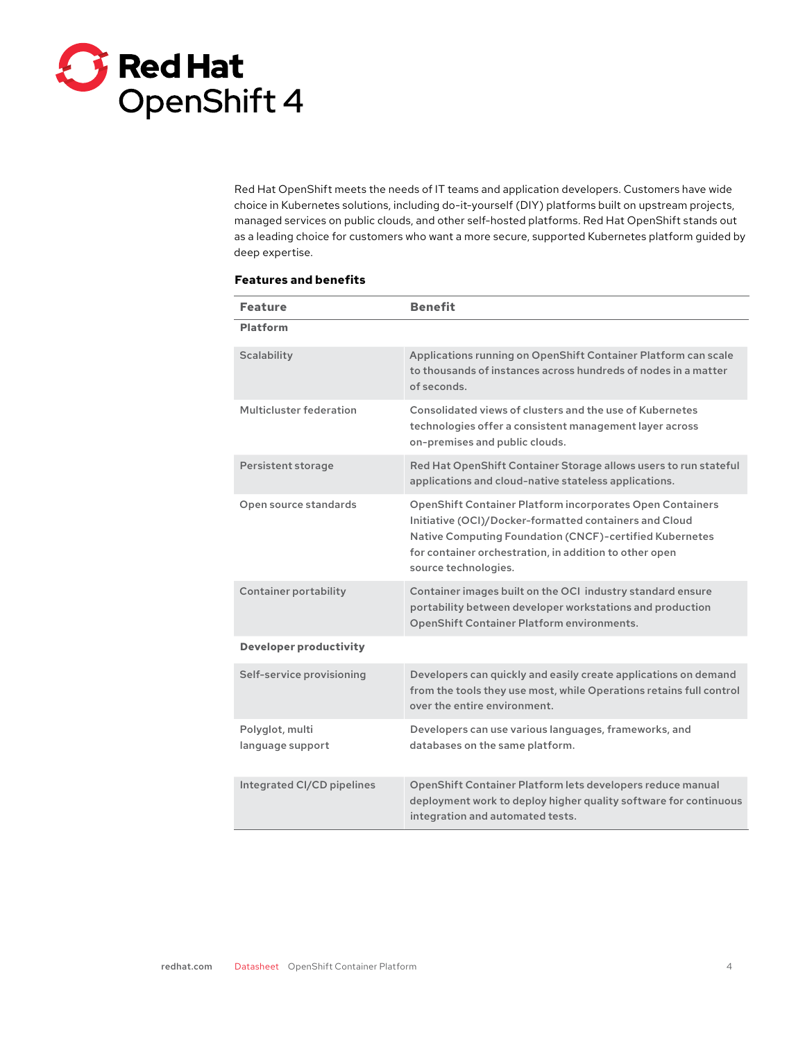

Red Hat OpenShift meets the needs of IT teams and application developers. Customers have wide choice in Kubernetes solutions, including do-it-yourself (DIY) platforms built on upstream projects, managed services on public clouds, and other self-hosted platforms. Red Hat OpenShift stands out as a leading choice for customers who want a more secure, supported Kubernetes platform guided by deep expertise.

## **Features and benefits**

| <b>Feature</b>                      | <b>Benefit</b>                                                                                                                                                                                                                                                          |
|-------------------------------------|-------------------------------------------------------------------------------------------------------------------------------------------------------------------------------------------------------------------------------------------------------------------------|
| <b>Platform</b>                     |                                                                                                                                                                                                                                                                         |
| <b>Scalability</b>                  | Applications running on OpenShift Container Platform can scale<br>to thousands of instances across hundreds of nodes in a matter<br>of seconds.                                                                                                                         |
| Multicluster federation             | Consolidated views of clusters and the use of Kubernetes<br>technologies offer a consistent management layer across<br>on-premises and public clouds.                                                                                                                   |
| Persistent storage                  | Red Hat OpenShift Container Storage allows users to run stateful<br>applications and cloud-native stateless applications.                                                                                                                                               |
| Open source standards               | <b>OpenShift Container Platform incorporates Open Containers</b><br>Initiative (OCI)/Docker-formatted containers and Cloud<br>Native Computing Foundation (CNCF)-certified Kubernetes<br>for container orchestration, in addition to other open<br>source technologies. |
| <b>Container portability</b>        | Container images built on the OCI industry standard ensure<br>portability between developer workstations and production<br><b>OpenShift Container Platform environments.</b>                                                                                            |
| <b>Developer productivity</b>       |                                                                                                                                                                                                                                                                         |
| Self-service provisioning           | Developers can quickly and easily create applications on demand<br>from the tools they use most, while Operations retains full control<br>over the entire environment.                                                                                                  |
| Polyglot, multi<br>language support | Developers can use various languages, frameworks, and<br>databases on the same platform.                                                                                                                                                                                |
| Integrated CI/CD pipelines          | OpenShift Container Platform lets developers reduce manual<br>deployment work to deploy higher quality software for continuous<br>integration and automated tests.                                                                                                      |